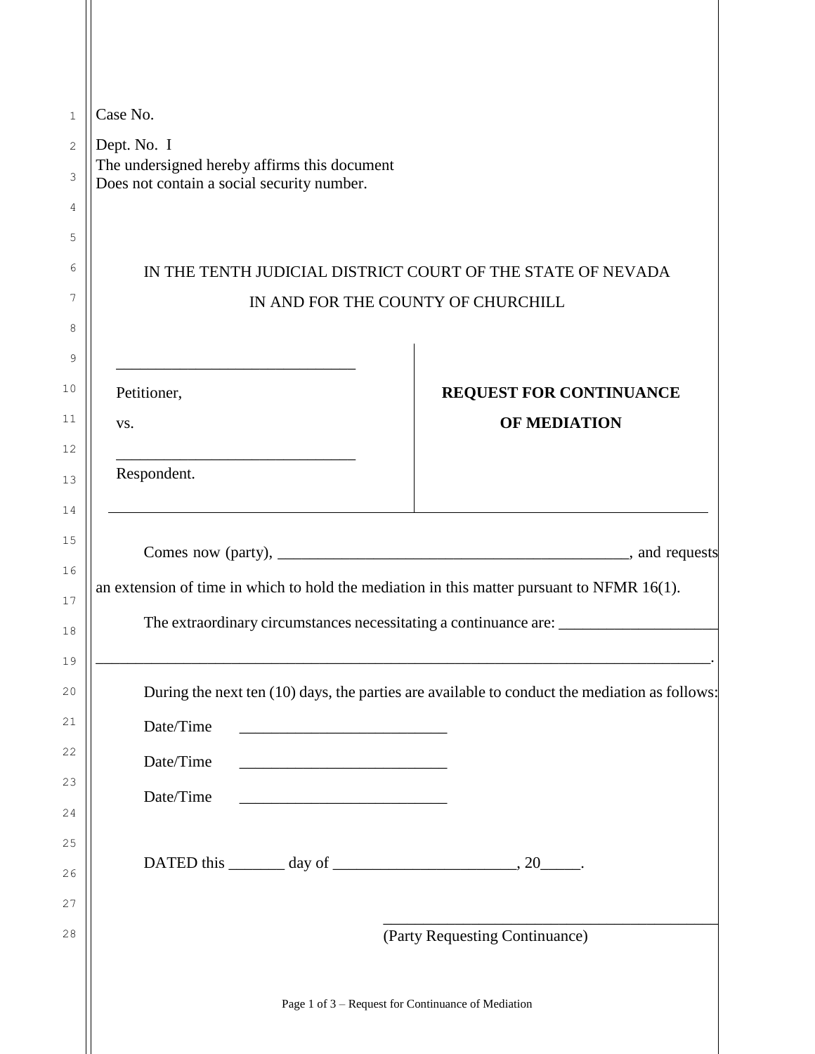| IN THE TENTH JUDICIAL DISTRICT COURT OF THE STATE OF NEVADA                                   |
|-----------------------------------------------------------------------------------------------|
| IN AND FOR THE COUNTY OF CHURCHILL                                                            |
|                                                                                               |
|                                                                                               |
| <b>REQUEST FOR CONTINUANCE</b>                                                                |
| <b>OF MEDIATION</b>                                                                           |
|                                                                                               |
|                                                                                               |
|                                                                                               |
|                                                                                               |
|                                                                                               |
| an extension of time in which to hold the mediation in this matter pursuant to NFMR $16(1)$ . |
| The extraordinary circumstances necessitating a continuance are: ________________             |
|                                                                                               |
|                                                                                               |
| During the next ten (10) days, the parties are available to conduct the mediation as follows: |
|                                                                                               |
|                                                                                               |
|                                                                                               |
|                                                                                               |
| <u> 1980 - Johann Barn, mars an t-Amerikaansk kommunister (</u>                               |
|                                                                                               |
| DATED this $\_\_\_\_$ day of $\_\_\_\_\_\_\_$ , 20 $\_\_\_\_\_$ .                             |
|                                                                                               |
|                                                                                               |
| (Party Requesting Continuance)                                                                |
|                                                                                               |
| Page 1 of 3 - Request for Continuance of Mediation                                            |
|                                                                                               |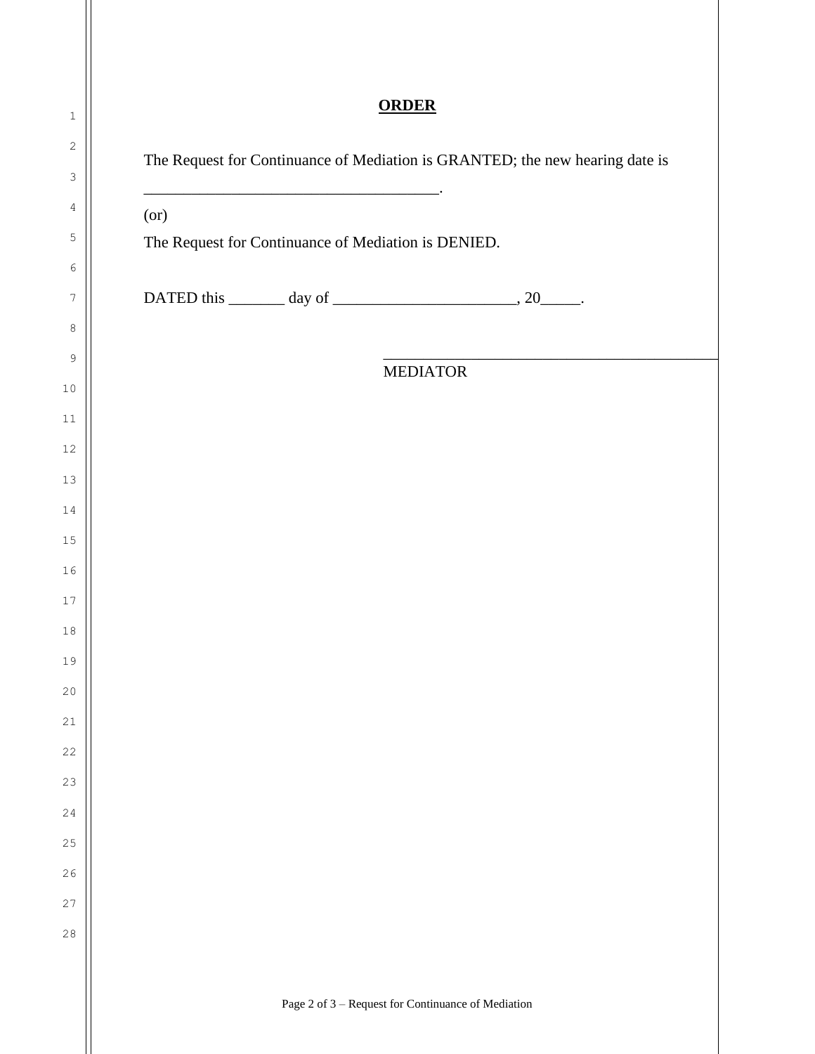## **ORDER**

| (or)                                                |  |                 |  |
|-----------------------------------------------------|--|-----------------|--|
| The Request for Continuance of Mediation is DENIED. |  |                 |  |
|                                                     |  |                 |  |
|                                                     |  |                 |  |
|                                                     |  |                 |  |
|                                                     |  | <b>MEDIATOR</b> |  |
|                                                     |  |                 |  |
|                                                     |  |                 |  |
|                                                     |  |                 |  |
|                                                     |  |                 |  |
|                                                     |  |                 |  |
|                                                     |  |                 |  |
|                                                     |  |                 |  |
|                                                     |  |                 |  |
|                                                     |  |                 |  |
|                                                     |  |                 |  |
|                                                     |  |                 |  |
|                                                     |  |                 |  |
|                                                     |  |                 |  |
|                                                     |  |                 |  |
|                                                     |  |                 |  |
|                                                     |  |                 |  |
|                                                     |  |                 |  |